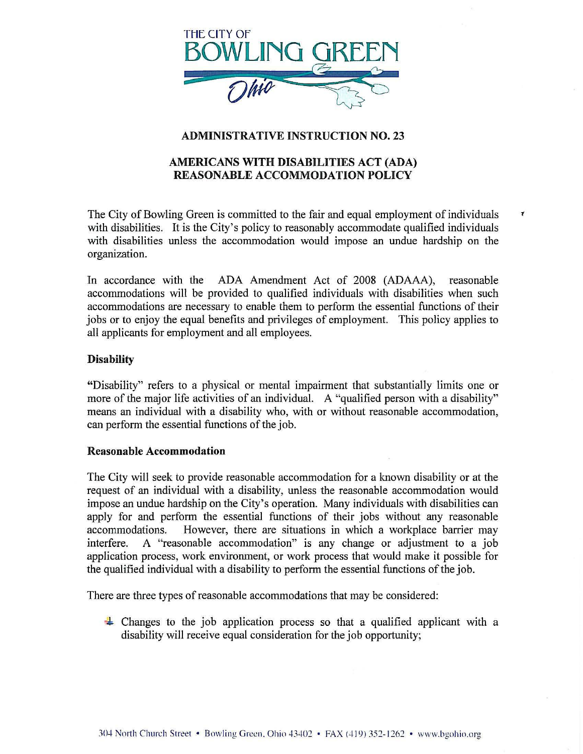

# ADMINISTRATIVE INSTRUCTION NO. 23

# AMERICANS WITH DISABILITIES ACT (ADA) REASONABLE ACCOMMODATION POLICY

The City of Bowling Green is committed to the fair and equal employment of individuals  $\tau$ with disabilities. It is the City's policy to reasonably accommodate qualified individuals with disabilities unless the accommodation would impose an undue hardship on the organization.

In accordance with the ADA Amendment Act of 2008 (ADAAA), reasonable accommodations will be provided to qualified individuals with disabilities when such accommodations are necessary to enable them to perform the essential functions of their jobs or to enjoy the equal benefits and privileges of employment. This policy applies to all applicants for employment and all employees.

## **Disability**

"Disability" refers to a physical or mental impairment that substantially limits one or more of the major life activities of an individual. A "qualified person with a disability" means an individual with a disability who, with or without reasonable accommodation, can perform the essential functions of the job.

## Reasonable Accommodation

The City will seek to provide reasonable accommodation for a known disability or at the request of an individual with a disability, unless the reasonable accommodation would impose an undue hardship on the City's operation. Many individuals with disabilities can apply for and perform the essential functions of their jobs without any reasonable accommodations. However, there are situations in which a workplace barrier may interfere. A "reasonable accommodation" is any change or adjustment to a job application process, work environment, or work process that would make it possible for the qualified individual with a disability to perform the essential functions of the job.

There are three types of reasonable accommodations that may be considered:

 $\div$  Changes to the job application process so that a qualified applicant with a disability will receive equal consideration for the job opportunity;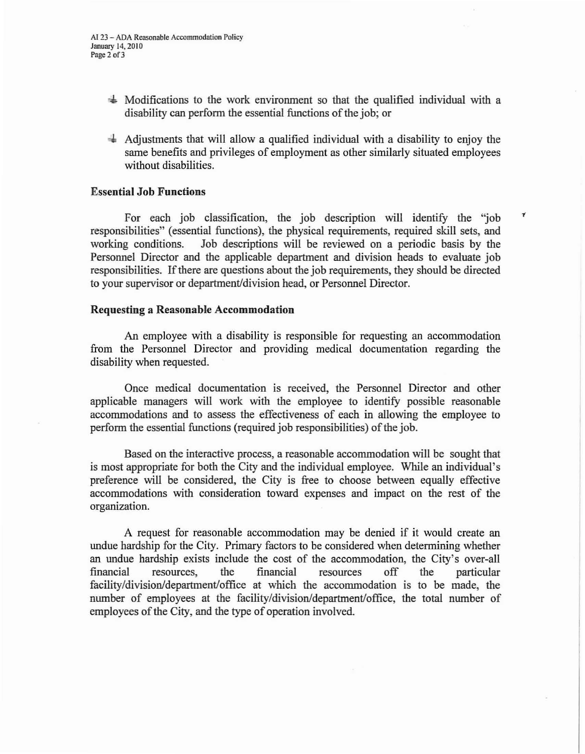- '\* Modifications to the work environment so that the qualified individual with a disability can perform the essential functions of the job; or
- $\ddot{+}$  Adjustments that will allow a qualified individual with a disability to enjoy the same benefits and privileges of employment as other similarly situated employees without disabilities.

 $\pmb{\tau}$ 

## Essential **Job Functions**

For each job classification, the job description will identify the 'job responsibilities" (essential functions), the physical requirements, required skill sets, and working conditions. Job descriptions will be reviewed on a periodic basis by the Personnel Director and the applicable department and division heads to evaluate job responsibilities. If there are questions about the job requirements, they should be directed to your supervisor or department/division head, or Personnel Director.

### **Requesting a Reasonable Accommodation**

An employee with a disability is responsible for requesting an accommodation from the Personnel Director and providing medical documentation regarding the disability when requested.

Once medical documentation is received, the Personnel Director and other applicable managers will work with the employee to identify possible reasonable accommodations and to assess the effectiveness of each in allowing the employee to perform the essential functions (required job responsibilities) of the job.

Based on the interactive process, a reasonable accommodation will be sought that is most appropriate for both the City and the individual employee. While an individual's preference will be considered, the City is free to choose between equally effective accommodations with consideration toward expenses and impact on the rest of the organization.

A request for reasonable accommodation may be denied if it would create an undue hardship for the City. Primary factors to be considered when determining whether an undue hardship exists include the cost of the accommodation, the City's over-all financial resources, the financial resources off the particular facility/division/department/office at which the accommodation is to be made, the number of employees at the facility/division/department/office, the total number of employees of the City, and the type of operation involved.